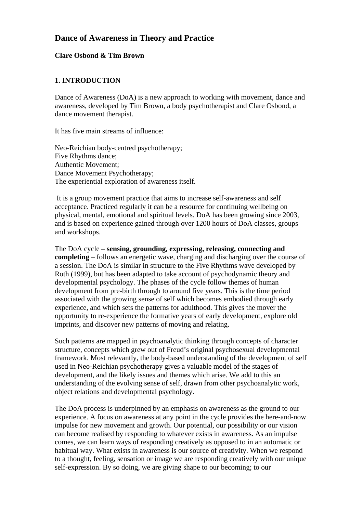# **Dance of Awareness in Theory and Practice**

### **Clare Osbond & Tim Brown**

### **1. INTRODUCTION**

Dance of Awareness (DoA) is a new approach to working with movement, dance and awareness, developed by Tim Brown, a body psychotherapist and Clare Osbond, a dance movement therapist.

It has five main streams of influence:

Neo-Reichian body-centred psychotherapy; Five Rhythms dance; Authentic Movement; Dance Movement Psychotherapy; The experiential exploration of awareness itself.

 It is a group movement practice that aims to increase self-awareness and self acceptance. Practiced regularly it can be a resource for continuing wellbeing on physical, mental, emotional and spiritual levels. DoA has been growing since 2003, and is based on experience gained through over 1200 hours of DoA classes, groups and workshops.

The DoA cycle – **sensing, grounding, expressing, releasing, connecting and completing** – follows an energetic wave, charging and discharging over the course of a session. The DoA is similar in structure to the Five Rhythms wave developed by Roth (1999), but has been adapted to take account of psychodynamic theory and developmental psychology. The phases of the cycle follow themes of human development from pre-birth through to around five years. This is the time period associated with the growing sense of self which becomes embodied through early experience, and which sets the patterns for adulthood. This gives the mover the opportunity to re-experience the formative years of early development, explore old imprints, and discover new patterns of moving and relating.

Such patterns are mapped in psychoanalytic thinking through concepts of character structure, concepts which grew out of Freud's original psychosexual developmental framework. Most relevantly, the body-based understanding of the development of self used in Neo-Reichian psychotherapy gives a valuable model of the stages of development, and the likely issues and themes which arise. We add to this an understanding of the evolving sense of self, drawn from other psychoanalytic work, object relations and developmental psychology.

The DoA process is underpinned by an emphasis on awareness as the ground to our experience. A focus on awareness at any point in the cycle provides the here-and-now impulse for new movement and growth. Our potential, our possibility or our vision can become realised by responding to whatever exists in awareness. As an impulse comes, we can learn ways of responding creatively as opposed to in an automatic or habitual way. What exists in awareness is our source of creativity. When we respond to a thought, feeling, sensation or image we are responding creatively with our unique self-expression. By so doing, we are giving shape to our becoming; to our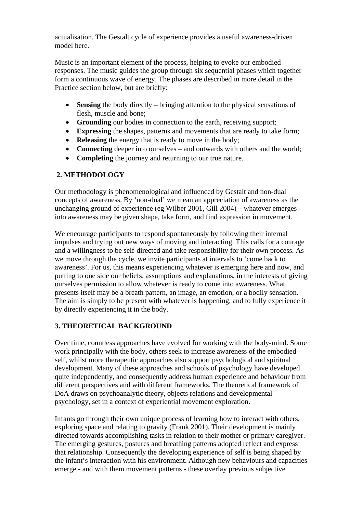actualisation. The Gestalt cycle of experience provides a useful awareness-driven model here.

Music is an important element of the process, helping to evoke our embodied responses. The music guides the group through six sequential phases which together form a continuous wave of energy. The phases are described in more detail in the Practice section below, but are briefly:

- **Sensing** the body directly bringing attention to the physical sensations of flesh, muscle and bone;
- **Grounding** our bodies in connection to the earth, receiving support;
- **Expressing** the shapes, patterns and movements that are ready to take form;
- **Releasing** the energy that is ready to move in the body;
- **Connecting** deeper into ourselves and outwards with others and the world;
- **Completing** the journey and returning to our true nature.

### **2. METHODOLOGY**

Our methodology is phenomenological and influenced by Gestalt and non-dual concepts of awareness. By 'non-dual' we mean an appreciation of awareness as the unchanging ground of experience (eg Wilber 2001, Gill 2004) – whatever emerges into awareness may be given shape, take form, and find expression in movement.

We encourage participants to respond spontaneously by following their internal impulses and trying out new ways of moving and interacting. This calls for a courage and a willingness to be self-directed and take responsibility for their own process. As we move through the cycle, we invite participants at intervals to 'come back to awareness'. For us, this means experiencing whatever is emerging here and now, and putting to one side our beliefs, assumptions and explanations, in the interests of giving ourselves permission to allow whatever is ready to come into awareness. What presents itself may be a breath pattern, an image, an emotion, or a bodily sensation. The aim is simply to be present with whatever is happening, and to fully experience it by directly experiencing it in the body.

# **3. THEORETICAL BACKGROUND**

Over time, countless approaches have evolved for working with the body-mind. Some work principally with the body, others seek to increase awareness of the embodied self, whilst more therapeutic approaches also support psychological and spiritual development. Many of these approaches and schools of psychology have developed quite independently, and consequently address human experience and behaviour from different perspectives and with different frameworks. The theoretical framework of DoA draws on psychoanalytic theory, objects relations and developmental psychology, set in a context of experiential movement exploration.

Infants go through their own unique process of learning how to interact with others, exploring space and relating to gravity (Frank 2001). Their development is mainly directed towards accomplishing tasks in relation to their mother or primary caregiver. The emerging gestures, postures and breathing patterns adopted reflect and express that relationship. Consequently the developing experience of self is being shaped by the infant's interaction with his environment. Although new behaviours and capacities emerge - and with them movement patterns - these overlay previous subjective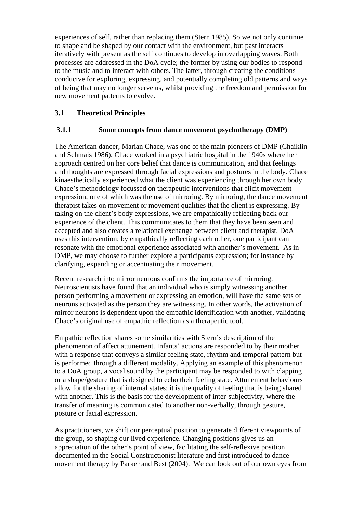experiences of self, rather than replacing them (Stern 1985). So we not only continue to shape and be shaped by our contact with the environment, but past interacts iteratively with present as the self continues to develop in overlapping waves. Both processes are addressed in the DoA cycle; the former by using our bodies to respond to the music and to interact with others. The latter, through creating the conditions conducive for exploring, expressing, and potentially completing old patterns and ways of being that may no longer serve us, whilst providing the freedom and permission for new movement patterns to evolve.

### **3.1 Theoretical Principles**

### **3.1.1 Some concepts from dance movement psychotherapy (DMP)**

The American dancer, Marian Chace, was one of the main pioneers of DMP (Chaiklin and Schmais 1986). Chace worked in a psychiatric hospital in the 1940s where her approach centred on her core belief that dance is communication, and that feelings and thoughts are expressed through facial expressions and postures in the body. Chace kinaesthetically experienced what the client was experiencing through her own body. Chace's methodology focussed on therapeutic interventions that elicit movement expression, one of which was the use of mirroring. By mirroring, the dance movement therapist takes on movement or movement qualities that the client is expressing. By taking on the client's body expressions, we are empathically reflecting back our experience of the client. This communicates to them that they have been seen and accepted and also creates a relational exchange between client and therapist. DoA uses this intervention; by empathically reflecting each other, one participant can resonate with the emotional experience associated with another's movement. As in DMP, we may choose to further explore a participants expression; for instance by clarifying, expanding or accentuating their movement.

Recent research into mirror neurons confirms the importance of mirroring. Neuroscientists have found that an individual who is simply witnessing another person performing a movement or expressing an emotion, will have the same sets of neurons activated as the person they are witnessing. In other words, the activation of mirror neurons is dependent upon the empathic identification with another, validating Chace's original use of empathic reflection as a therapeutic tool.

Empathic reflection shares some similarities with Stern's description of the phenomenon of affect attunement. Infants' actions are responded to by their mother with a response that conveys a similar feeling state, rhythm and temporal pattern but is performed through a different modality. Applying an example of this phenomenon to a DoA group, a vocal sound by the participant may be responded to with clapping or a shape/gesture that is designed to echo their feeling state. Attunement behaviours allow for the sharing of internal states; it is the quality of feeling that is being shared with another. This is the basis for the development of inter-subjectivity, where the transfer of meaning is communicated to another non-verbally, through gesture, posture or facial expression.

As practitioners, we shift our perceptual position to generate different viewpoints of the group, so shaping our lived experience. Changing positions gives us an appreciation of the other's point of view, facilitating the self-reflexive position documented in the Social Constructionist literature and first introduced to dance movement therapy by Parker and Best (2004). We can look out of our own eyes from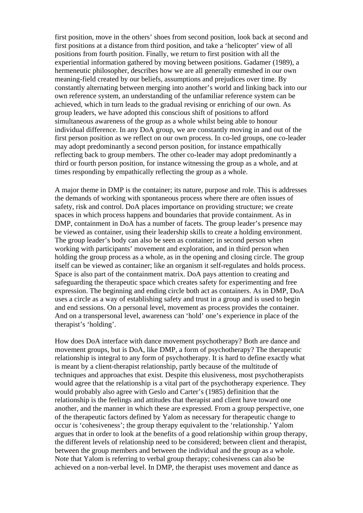first position, move in the others' shoes from second position, look back at second and first positions at a distance from third position, and take a 'helicopter' view of all positions from fourth position. Finally, we return to first position with all the experiential information gathered by moving between positions. Gadamer (1989), a hermeneutic philosopher, describes how we are all generally enmeshed in our own meaning-field created by our beliefs, assumptions and prejudices over time. By constantly alternating between merging into another's world and linking back into our own reference system, an understanding of the unfamiliar reference system can be achieved, which in turn leads to the gradual revising or enriching of our own. As group leaders, we have adopted this conscious shift of positions to afford simultaneous awareness of the group as a whole whilst being able to honour individual difference. In any DoA group, we are constantly moving in and out of the first person position as we reflect on our own process. In co-led groups, one co-leader may adopt predominantly a second person position, for instance empathically reflecting back to group members. The other co-leader may adopt predominantly a third or fourth person position, for instance witnessing the group as a whole, and at times responding by empathically reflecting the group as a whole.

A major theme in DMP is the container; its nature, purpose and role. This is addresses the demands of working with spontaneous process where there are often issues of safety, risk and control. DoA places importance on providing structure; we create spaces in which process happens and boundaries that provide containment. As in DMP, containment in DoA has a number of facets. The group leader's presence may be viewed as container, using their leadership skills to create a holding environment. The group leader's body can also be seen as container; in second person when working with participants' movement and exploration, and in third person when holding the group process as a whole, as in the opening and closing circle. The group itself can be viewed as container; like an organism it self-regulates and holds process. Space is also part of the containment matrix. DoA pays attention to creating and safeguarding the therapeutic space which creates safety for experimenting and free expression. The beginning and ending circle both act as containers. As in DMP, DoA uses a circle as a way of establishing safety and trust in a group and is used to begin and end sessions. On a personal level, movement as process provides the container. And on a transpersonal level, awareness can 'hold' one's experience in place of the therapist's 'holding'.

How does DoA interface with dance movement psychotherapy? Both are dance and movement groups, but is DoA, like DMP, a form of psychotherapy? The therapeutic relationship is integral to any form of psychotherapy. It is hard to define exactly what is meant by a client-therapist relationship, partly because of the multitude of techniques and approaches that exist. Despite this elusiveness, most psychotherapists would agree that the relationship is a vital part of the psychotherapy experience. They would probably also agree with Geslo and Carter's (1985) definition that the relationship is the feelings and attitudes that therapist and client have toward one another, and the manner in which these are expressed. From a group perspective, one of the therapeutic factors defined by Yalom as necessary for therapeutic change to occur is 'cohesiveness'; the group therapy equivalent to the 'relationship.' Yalom argues that in order to look at the benefits of a good relationship within group therapy, the different levels of relationship need to be considered; between client and therapist, between the group members and between the individual and the group as a whole. Note that Yalom is referring to verbal group therapy; cohesiveness can also be achieved on a non-verbal level. In DMP, the therapist uses movement and dance as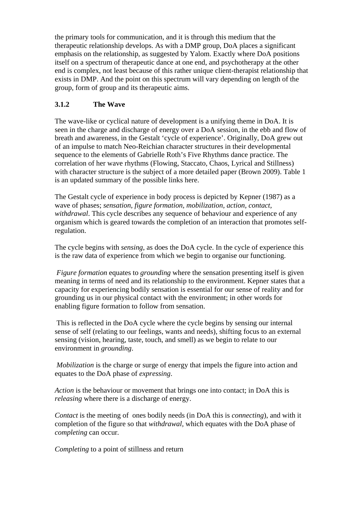the primary tools for communication, and it is through this medium that the therapeutic relationship develops. As with a DMP group, DoA places a significant emphasis on the relationship, as suggested by Yalom. Exactly where DoA positions itself on a spectrum of therapeutic dance at one end, and psychotherapy at the other end is complex, not least because of this rather unique client-therapist relationship that exists in DMP. And the point on this spectrum will vary depending on length of the group, form of group and its therapeutic aims.

### **3.1.2 The Wave**

The wave-like or cyclical nature of development is a unifying theme in DoA. It is seen in the charge and discharge of energy over a DoA session, in the ebb and flow of breath and awareness, in the Gestalt 'cycle of experience'. Originally, DoA grew out of an impulse to match Neo-Reichian character structures in their developmental sequence to the elements of Gabrielle Roth's Five Rhythms dance practice. The correlation of her wave rhythms (Flowing, Staccato, Chaos, Lyrical and Stillness) with character structure is the subject of a more detailed paper (Brown 2009). Table 1 is an updated summary of the possible links here.

The Gestalt cycle of experience in body process is depicted by Kepner (1987) as a wave of phases; *sensation, figure formation, mobilization, action, contact, withdrawal*. This cycle describes any sequence of behaviour and experience of any organism which is geared towards the completion of an interaction that promotes selfregulation.

The cycle begins with *sensing*, as does the DoA cycle. In the cycle of experience this is the raw data of experience from which we begin to organise our functioning.

*Figure formation* equates to *grounding* where the sensation presenting itself is given meaning in terms of need and its relationship to the environment. Kepner states that a capacity for experiencing bodily sensation is essential for our sense of reality and for grounding us in our physical contact with the environment; in other words for enabling figure formation to follow from sensation.

 This is reflected in the DoA cycle where the cycle begins by sensing our internal sense of self (relating to our feelings, wants and needs), shifting focus to an external sensing (vision, hearing, taste, touch, and smell) as we begin to relate to our environment in *grounding*.

*Mobilization* is the charge or surge of energy that impels the figure into action and equates to the DoA phase of *expressing*.

*Action* is the behaviour or movement that brings one into contact; in DoA this is *releasing* where there is a discharge of energy.

*Contact* is the meeting of ones bodily needs (in DoA this is *connecting*), and with it completion of the figure so that *withdrawal,* which equates with the DoA phase of *completing* can occur*.* 

*Completing* to a point of stillness and return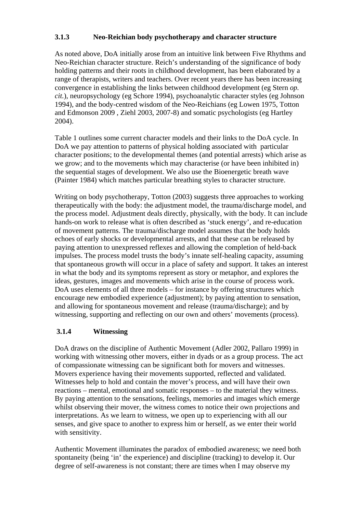# **3.1.3 Neo-Reichian body psychotherapy and character structure**

As noted above, DoA initially arose from an intuitive link between Five Rhythms and Neo-Reichian character structure. Reich's understanding of the significance of body holding patterns and their roots in childhood development, has been elaborated by a range of therapists, writers and teachers. Over recent years there has been increasing convergence in establishing the links between childhood development (eg Stern *op. cit.*), neuropsychology (eg Schore 1994), psychoanalytic character styles (eg Johnson 1994), and the body-centred wisdom of the Neo-Reichians (eg Lowen 1975, Totton and Edmonson 2009 , Ziehl 2003, 2007-8) and somatic psychologists (eg Hartley 2004).

Table 1 outlines some current character models and their links to the DoA cycle. In DoA we pay attention to patterns of physical holding associated with particular character positions; to the developmental themes (and potential arrests) which arise as we grow; and to the movements which may characterise (or have been inhibited in) the sequential stages of development. We also use the Bioenergetic breath wave (Painter 1984) which matches particular breathing styles to character structure.

Writing on body psychotherapy, Totton (2003) suggests three approaches to working therapeutically with the body: the adjustment model, the trauma/discharge model, and the process model. Adjustment deals directly, physically, with the body. It can include hands-on work to release what is often described as 'stuck energy', and re-education of movement patterns. The trauma/discharge model assumes that the body holds echoes of early shocks or developmental arrests, and that these can be released by paying attention to unexpressed reflexes and allowing the completion of held-back impulses. The process model trusts the body's innate self-healing capacity, assuming that spontaneous growth will occur in a place of safety and support. It takes an interest in what the body and its symptoms represent as story or metaphor, and explores the ideas, gestures, images and movements which arise in the course of process work. DoA uses elements of all three models – for instance by offering structures which encourage new embodied experience (adjustment); by paying attention to sensation, and allowing for spontaneous movement and release (trauma/discharge); and by witnessing, supporting and reflecting on our own and others' movements (process).

### **3.1.4 Witnessing**

DoA draws on the discipline of Authentic Movement (Adler 2002, Pallaro 1999) in working with witnessing other movers, either in dyads or as a group process. The act of compassionate witnessing can be significant both for movers and witnesses. Movers experience having their movements supported, reflected and validated. Witnesses help to hold and contain the mover's process, and will have their own reactions – mental, emotional and somatic responses – to the material they witness. By paying attention to the sensations, feelings, memories and images which emerge whilst observing their mover, the witness comes to notice their own projections and interpretations. As we learn to witness, we open up to experiencing with all our senses, and give space to another to express him or herself, as we enter their world with sensitivity.

Authentic Movement illuminates the paradox of embodied awareness; we need both spontaneity (being 'in' the experience) and discipline (tracking) to develop it. Our degree of self-awareness is not constant; there are times when I may observe my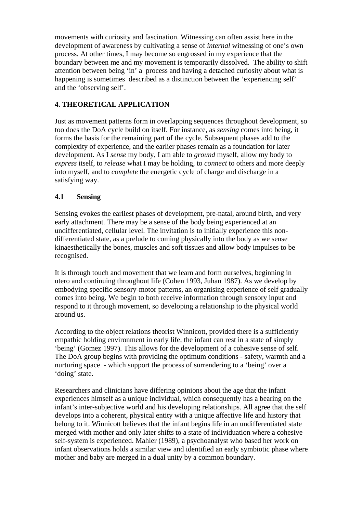movements with curiosity and fascination. Witnessing can often assist here in the development of awareness by cultivating a sense of *internal* witnessing of one's own process. At other times, I may become so engrossed in my experience that the boundary between me and my movement is temporarily dissolved. The ability to shift attention between being 'in' a process and having a detached curiosity about what is happening is sometimes described as a distinction between the 'experiencing self' and the 'observing self'.

# **4. THEORETICAL APPLICATION**

Just as movement patterns form in overlapping sequences throughout development, so too does the DoA cycle build on itself. For instance, as *sensing* comes into being, it forms the basis for the remaining part of the cycle. Subsequent phases add to the complexity of experience, and the earlier phases remain as a foundation for later development. As I *sense* my body, I am able to *ground* myself, allow my body to *express* itself, to *release* what I may be holding, to *connect* to others and more deeply into myself, and to *complete* the energetic cycle of charge and discharge in a satisfying way.

### **4.1 Sensing**

Sensing evokes the earliest phases of development, pre-natal, around birth, and very early attachment. There may be a sense of the body being experienced at an undifferentiated, cellular level. The invitation is to initially experience this nondifferentiated state, as a prelude to coming physically into the body as we sense kinaesthetically the bones, muscles and soft tissues and allow body impulses to be recognised.

It is through touch and movement that we learn and form ourselves, beginning in utero and continuing throughout life (Cohen 1993, Juhan 1987). As we develop by embodying specific sensory-motor patterns, an organising experience of self gradually comes into being. We begin to both receive information through sensory input and respond to it through movement, so developing a relationship to the physical world around us.

According to the object relations theorist Winnicott, provided there is a sufficiently empathic holding environment in early life, the infant can rest in a state of simply 'being' (Gomez 1997). This allows for the development of a cohesive sense of self. The DoA group begins with providing the optimum conditions - safety, warmth and a nurturing space - which support the process of surrendering to a 'being' over a 'doing' state.

Researchers and clinicians have differing opinions about the age that the infant experiences himself as a unique individual, which consequently has a bearing on the infant's inter-subjective world and his developing relationships. All agree that the self develops into a coherent, physical entity with a unique affective life and history that belong to it. Winnicott believes that the infant begins life in an undifferentiated state merged with mother and only later shifts to a state of individuation where a cohesive self-system is experienced. Mahler (1989), a psychoanalyst who based her work on infant observations holds a similar view and identified an early symbiotic phase where mother and baby are merged in a dual unity by a common boundary.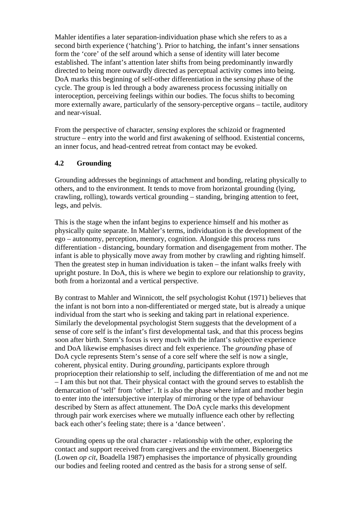Mahler identifies a later separation-individuation phase which she refers to as a second birth experience ('hatching'). Prior to hatching, the infant's inner sensations form the 'core' of the self around which a sense of identity will later become established. The infant's attention later shifts from being predominantly inwardly directed to being more outwardly directed as perceptual activity comes into being. DoA marks this beginning of self-other differentiation in the s*ensing* phase of the cycle. The group is led through a body awareness process focussing initially on interoception, perceiving feelings within our bodies. The focus shifts to becoming more externally aware, particularly of the sensory-perceptive organs – tactile, auditory and near-visual.

From the perspective of character, *sensing* explores the schizoid or fragmented structure – entry into the world and first awakening of selfhood. Existential concerns, an inner focus, and head-centred retreat from contact may be evoked.

# **4.2 Grounding**

Grounding addresses the beginnings of attachment and bonding, relating physically to others, and to the environment. It tends to move from horizontal grounding (lying, crawling, rolling), towards vertical grounding – standing, bringing attention to feet, legs, and pelvis.

This is the stage when the infant begins to experience himself and his mother as physically quite separate. In Mahler's terms, individuation is the development of the ego – autonomy, perception, memory, cognition. Alongside this process runs differentiation - distancing, boundary formation and disengagement from mother. The infant is able to physically move away from mother by crawling and righting himself. Then the greatest step in human individuation is taken – the infant walks freely with upright posture. In DoA, this is where we begin to explore our relationship to gravity, both from a horizontal and a vertical perspective.

By contrast to Mahler and Winnicott, the self psychologist Kohut (1971) believes that the infant is not born into a non-differentiated or merged state, but is already a unique individual from the start who is seeking and taking part in relational experience. Similarly the developmental psychologist Stern suggests that the development of a sense of core self is the infant's first developmental task, and that this process begins soon after birth. Stern's focus is very much with the infant's subjective experience and DoA likewise emphasises direct and felt experience. The *grounding* phase of DoA cycle represents Stern's sense of a core self where the self is now a single, coherent, physical entity. During *grounding*, participants explore through proprioception their relationship to self, including the differentiation of me and not me – I am this but not that. Their physical contact with the ground serves to establish the demarcation of 'self' from 'other'. It is also the phase where infant and mother begin to enter into the intersubjective interplay of mirroring or the type of behaviour described by Stern as affect attunement. The DoA cycle marks this development through pair work exercises where we mutually influence each other by reflecting back each other's feeling state; there is a 'dance between'.

Grounding opens up the oral character - relationship with the other, exploring the contact and support received from caregivers and the environment. Bioenergetics (Lowen *op cit*, Boadella 1987) emphasises the importance of physically grounding our bodies and feeling rooted and centred as the basis for a strong sense of self.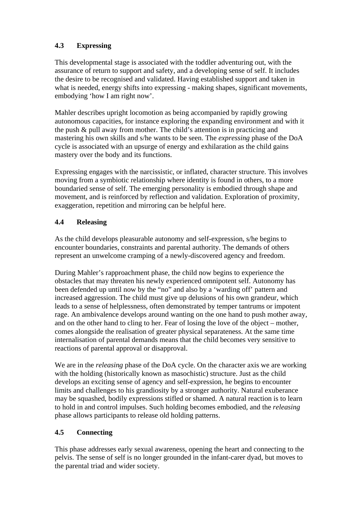# **4.3 Expressing**

This developmental stage is associated with the toddler adventuring out, with the assurance of return to support and safety, and a developing sense of self. It includes the desire to be recognised and validated. Having established support and taken in what is needed, energy shifts into expressing - making shapes, significant movements, embodying 'how I am right now'.

Mahler describes upright locomotion as being accompanied by rapidly growing autonomous capacities, for instance exploring the expanding environment and with it the push & pull away from mother. The child's attention is in practicing and mastering his own skills and s/he wants to be seen. The *expressing* phase of the DoA cycle is associated with an upsurge of energy and exhilaration as the child gains mastery over the body and its functions.

Expressing engages with the narcissistic, or inflated, character structure. This involves moving from a symbiotic relationship where identity is found in others, to a more boundaried sense of self. The emerging personality is embodied through shape and movement, and is reinforced by reflection and validation. Exploration of proximity, exaggeration, repetition and mirroring can be helpful here.

# **4.4 Releasing**

As the child develops pleasurable autonomy and self-expression, s/he begins to encounter boundaries, constraints and parental authority. The demands of others represent an unwelcome cramping of a newly-discovered agency and freedom.

During Mahler's rapproachment phase, the child now begins to experience the obstacles that may threaten his newly experienced omnipotent self. Autonomy has been defended up until now by the "no" and also by a 'warding off' pattern and increased aggression. The child must give up delusions of his own grandeur, which leads to a sense of helplessness, often demonstrated by temper tantrums or impotent rage. An ambivalence develops around wanting on the one hand to push mother away, and on the other hand to cling to her. Fear of losing the love of the object – mother, comes alongside the realisation of greater physical separateness. At the same time internalisation of parental demands means that the child becomes very sensitive to reactions of parental approval or disapproval.

We are in the *releasing* phase of the DoA cycle. On the character axis we are working with the holding (historically known as masochistic) structure. Just as the child develops an exciting sense of agency and self-expression, he begins to encounter limits and challenges to his grandiosity by a stronger authority. Natural exuberance may be squashed, bodily expressions stifled or shamed. A natural reaction is to learn to hold in and control impulses. Such holding becomes embodied, and the *releasing* phase allows participants to release old holding patterns.

# **4.5 Connecting**

This phase addresses early sexual awareness, opening the heart and connecting to the pelvis. The sense of self is no longer grounded in the infant-carer dyad, but moves to the parental triad and wider society.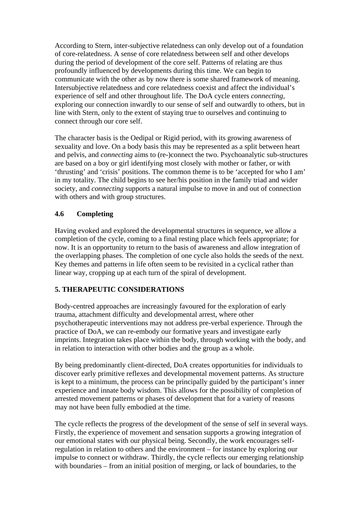According to Stern, inter-subjective relatedness can only develop out of a foundation of core-relatedness. A sense of core relatedness between self and other develops during the period of development of the core self. Patterns of relating are thus profoundly influenced by developments during this time. We can begin to communicate with the other as by now there is some shared framework of meaning. Intersubjective relatedness and core relatedness coexist and affect the individual's experience of self and other throughout life. The DoA cycle enters *connecting,* exploring our connection inwardly to our sense of self and outwardly to others, but in line with Stern, only to the extent of staying true to ourselves and continuing to connect through our core self.

The character basis is the Oedipal or Rigid period, with its growing awareness of sexuality and love. On a body basis this may be represented as a split between heart and pelvis, and *connecting* aims to (re-)connect the two. Psychoanalytic sub-structures are based on a boy or girl identifying most closely with mother or father, or with 'thrusting' and 'crisis' positions. The common theme is to be 'accepted for who I am' in my totality. The child begins to see her/his position in the family triad and wider society, and *connecting* supports a natural impulse to move in and out of connection with others and with group structures.

# **4.6 Completing**

Having evoked and explored the developmental structures in sequence, we allow a completion of the cycle, coming to a final resting place which feels appropriate; for now. It is an opportunity to return to the basis of awareness and allow integration of the overlapping phases. The completion of one cycle also holds the seeds of the next. Key themes and patterns in life often seem to be revisited in a cyclical rather than linear way, cropping up at each turn of the spiral of development.

### **5. THERAPEUTIC CONSIDERATIONS**

Body-centred approaches are increasingly favoured for the exploration of early trauma, attachment difficulty and developmental arrest, where other psychotherapeutic interventions may not address pre-verbal experience. Through the practice of DoA, we can re-embody our formative years and investigate early imprints. Integration takes place within the body, through working with the body, and in relation to interaction with other bodies and the group as a whole.

By being predominantly client-directed, DoA creates opportunities for individuals to discover early primitive reflexes and developmental movement patterns. As structure is kept to a minimum, the process can be principally guided by the participant's inner experience and innate body wisdom. This allows for the possibility of completion of arrested movement patterns or phases of development that for a variety of reasons may not have been fully embodied at the time.

The cycle reflects the progress of the development of the sense of self in several ways. Firstly, the experience of movement and sensation supports a growing integration of our emotional states with our physical being. Secondly, the work encourages selfregulation in relation to others and the environment – for instance by exploring our impulse to connect or withdraw. Thirdly, the cycle reflects our emerging relationship with boundaries – from an initial position of merging, or lack of boundaries, to the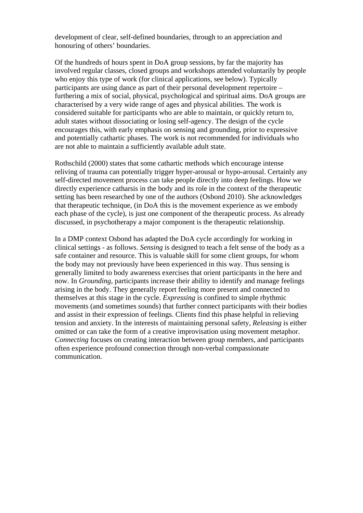development of clear, self-defined boundaries, through to an appreciation and honouring of others' boundaries.

Of the hundreds of hours spent in DoA group sessions, by far the majority has involved regular classes, closed groups and workshops attended voluntarily by people who enjoy this type of work (for clinical applications, see below). Typically participants are using dance as part of their personal development repertoire – furthering a mix of social, physical, psychological and spiritual aims. DoA groups are characterised by a very wide range of ages and physical abilities. The work is considered suitable for participants who are able to maintain, or quickly return to, adult states without dissociating or losing self-agency. The design of the cycle encourages this, with early emphasis on sensing and grounding, prior to expressive and potentially cathartic phases. The work is not recommended for individuals who are not able to maintain a sufficiently available adult state.

Rothschild (2000) states that some cathartic methods which encourage intense reliving of trauma can potentially trigger hyper-arousal or hypo-arousal. Certainly any self-directed movement process can take people directly into deep feelings. How we directly experience catharsis in the body and its role in the context of the therapeutic setting has been researched by one of the authors (Osbond 2010). She acknowledges that therapeutic technique, (in DoA this is the movement experience as we embody each phase of the cycle), is just one component of the therapeutic process. As already discussed, in psychotherapy a major component is the therapeutic relationship.

In a DMP context Osbond has adapted the DoA cycle accordingly for working in clinical settings - as follows. *Sensing* is designed to teach a felt sense of the body as a safe container and resource. This is valuable skill for some client groups, for whom the body may not previously have been experienced in this way. Thus sensing is generally limited to body awareness exercises that orient participants in the here and now. In *Grounding*, participants increase their ability to identify and manage feelings arising in the body. They generally report feeling more present and connected to themselves at this stage in the cycle. *Expressing* is confined to simple rhythmic movements (and sometimes sounds) that further connect participants with their bodies and assist in their expression of feelings. Clients find this phase helpful in relieving tension and anxiety. In the interests of maintaining personal safety, *Releasing* is either omitted or can take the form of a creative improvisation using movement metaphor. *Connecting* focuses on creating interaction between group members, and participants often experience profound connection through non-verbal compassionate communication.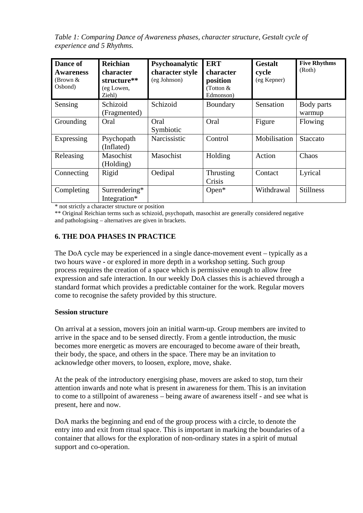*Table 1: Comparing Dance of Awareness phases, character structure, Gestalt cycle of experience and 5 Rhythms.* 

| Dance of<br><b>Awareness</b><br>(Brown $&$<br>Osbond) | <b>Reichian</b><br>character<br>structure**<br>(eg Lowen,<br>Ziehl) | <b>Psychoanalytic</b><br>character style<br>(eg Johnson) | <b>ERT</b><br>character<br>position<br>(Totton &<br>Edmonson) | <b>Gestalt</b><br>cycle<br>(eg Kepner) | <b>Five Rhythms</b><br>(Roth) |
|-------------------------------------------------------|---------------------------------------------------------------------|----------------------------------------------------------|---------------------------------------------------------------|----------------------------------------|-------------------------------|
| Sensing                                               | Schizoid<br>(Fragmented)                                            | Schizoid                                                 | Boundary                                                      | Sensation                              | Body parts<br>warmup          |
| Grounding                                             | Oral                                                                | Oral<br>Symbiotic                                        | Oral                                                          | Figure                                 | Flowing                       |
| Expressing                                            | Psychopath<br>(Inflated)                                            | Narcissistic                                             | Control                                                       | Mobilisation                           | Staccato                      |
| Releasing                                             | Masochist<br>(Holding)                                              | Masochist                                                | Holding                                                       | Action                                 | Chaos                         |
| Connecting                                            | Rigid                                                               | Oedipal                                                  | Thrusting<br>Crisis                                           | Contact                                | Lyrical                       |
| Completing                                            | Surrendering*<br>Integration*                                       |                                                          | $Open*$                                                       | Withdrawal                             | <b>Stillness</b>              |

\* not strictly a character structure or position

\*\* Original Reichian terms such as schizoid, psychopath, masochist are generally considered negative and pathologising – alternatives are given in brackets.

# **6. THE DOA PHASES IN PRACTICE**

The DoA cycle may be experienced in a single dance-movement event – typically as a two hours wave **-** or explored in more depth in a workshop setting. Such group process requires the creation of a space which is permissive enough to allow free expression and safe interaction. In our weekly DoA classes this is achieved through a standard format which provides a predictable container for the work. Regular movers come to recognise the safety provided by this structure.

#### **Session structure**

On arrival at a session, movers join an initial warm-up. Group members are invited to arrive in the space and to be sensed directly. From a gentle introduction, the music becomes more energetic as movers are encouraged to become aware of their breath, their body, the space, and others in the space. There may be an invitation to acknowledge other movers, to loosen, explore, move, shake.

At the peak of the introductory energising phase, movers are asked to stop, turn their attention inwards and note what is present in awareness for them. This is an invitation to come to a stillpoint of awareness – being aware of awareness itself - and see what is present, here and now.

DoA marks the beginning and end of the group process with a circle, to denote the entry into and exit from ritual space. This is important in marking the boundaries of a container that allows for the exploration of non-ordinary states in a spirit of mutual support and co-operation.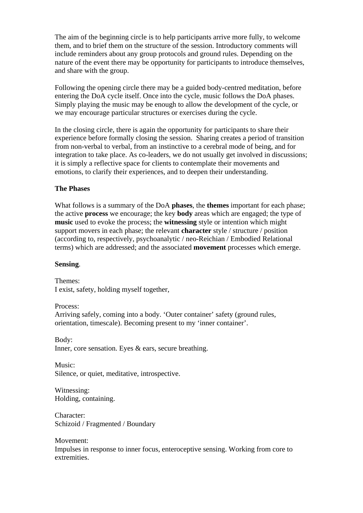The aim of the beginning circle is to help participants arrive more fully, to welcome them, and to brief them on the structure of the session. Introductory comments will include reminders about any group protocols and ground rules. Depending on the nature of the event there may be opportunity for participants to introduce themselves, and share with the group.

Following the opening circle there may be a guided body-centred meditation, before entering the DoA cycle itself. Once into the cycle, music follows the DoA phases. Simply playing the music may be enough to allow the development of the cycle, or we may encourage particular structures or exercises during the cycle.

In the closing circle, there is again the opportunity for participants to share their experience before formally closing the session. Sharing creates a period of transition from non-verbal to verbal, from an instinctive to a cerebral mode of being, and for integration to take place. As co-leaders, we do not usually get involved in discussions; it is simply a reflective space for clients to contemplate their movements and emotions, to clarify their experiences, and to deepen their understanding.

### **The Phases**

What follows is a summary of the DoA **phases**, the **themes** important for each phase; the active **process** we encourage; the key **body** areas which are engaged; the type of **music** used to evoke the process; the **witnessing** style or intention which might support movers in each phase; the relevant **character** style / structure / position (according to, respectively, psychoanalytic / neo-Reichian / Embodied Relational terms) which are addressed; and the associated **movement** processes which emerge.

#### **Sensing**.

Themes: I exist, safety, holding myself together,

Process:

Arriving safely, coming into a body. 'Outer container' safety (ground rules, orientation, timescale). Becoming present to my 'inner container'.

Body: Inner, core sensation. Eyes & ears, secure breathing.

Music: Silence, or quiet, meditative, introspective.

Witnessing: Holding, containing.

Character: Schizoid / Fragmented / Boundary

Movement: Impulses in response to inner focus, enteroceptive sensing. Working from core to extremities.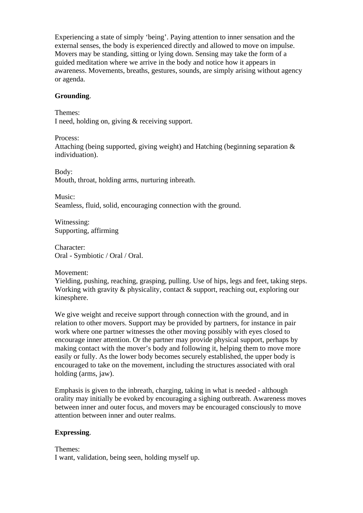Experiencing a state of simply 'being'. Paying attention to inner sensation and the external senses, the body is experienced directly and allowed to move on impulse. Movers may be standing, sitting or lying down. Sensing may take the form of a guided meditation where we arrive in the body and notice how it appears in awareness. Movements, breaths, gestures, sounds, are simply arising without agency or agenda.

#### **Grounding**.

Themes: I need, holding on, giving & receiving support.

Process:

Attaching (being supported, giving weight) and Hatching (beginning separation & individuation).

Body: Mouth, throat, holding arms, nurturing inbreath.

Music: Seamless, fluid, solid, encouraging connection with the ground.

Witnessing: Supporting, affirming

Character: Oral - Symbiotic / Oral / Oral.

Movement:

Yielding, pushing, reaching, grasping, pulling. Use of hips, legs and feet, taking steps. Working with gravity & physicality, contact & support, reaching out, exploring our kinesphere.

We give weight and receive support through connection with the ground, and in relation to other movers. Support may be provided by partners, for instance in pair work where one partner witnesses the other moving possibly with eyes closed to encourage inner attention. Or the partner may provide physical support, perhaps by making contact with the mover's body and following it, helping them to move more easily or fully. As the lower body becomes securely established, the upper body is encouraged to take on the movement, including the structures associated with oral holding (arms, jaw).

Emphasis is given to the inbreath, charging, taking in what is needed - although orality may initially be evoked by encouraging a sighing outbreath. Awareness moves between inner and outer focus, and movers may be encouraged consciously to move attention between inner and outer realms.

#### **Expressing**.

Themes: I want, validation, being seen, holding myself up.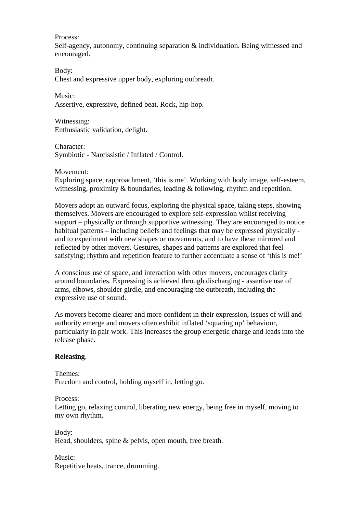Process:

Self-agency, autonomy, continuing separation & individuation. Being witnessed and encouraged.

Body: Chest and expressive upper body, exploring outbreath.

Music: Assertive, expressive, defined beat. Rock, hip-hop.

Witnessing: Enthusiastic validation, delight.

Character: Symbiotic - Narcissistic / Inflated / Control.

#### Movement:

Exploring space, rapproachment, 'this is me'. Working with body image, self-esteem, witnessing, proximity  $\&$  boundaries, leading  $\&$  following, rhythm and repetition.

Movers adopt an outward focus, exploring the physical space, taking steps, showing themselves. Movers are encouraged to explore self-expression whilst receiving support – physically or through supportive witnessing. They are encouraged to notice habitual patterns – including beliefs and feelings that may be expressed physically and to experiment with new shapes or movements, and to have these mirrored and reflected by other movers. Gestures, shapes and patterns are explored that feel satisfying; rhythm and repetition feature to further accentuate a sense of 'this is me!'

A conscious use of space, and interaction with other movers, encourages clarity around boundaries. Expressing is achieved through discharging - assertive use of arms, elbows, shoulder girdle, and encouraging the outbreath, including the expressive use of sound.

As movers become clearer and more confident in their expression, issues of will and authority emerge and movers often exhibit inflated 'squaring up' behaviour, particularly in pair work. This increases the group energetic charge and leads into the release phase.

#### **Releasing**.

Themes: Freedom and control, holding myself in, letting go.

Process:

Letting go, relaxing control, liberating new energy, being free in myself, moving to my own rhythm.

Body: Head, shoulders, spine & pelvis, open mouth, free breath.

Music: Repetitive beats, trance, drumming.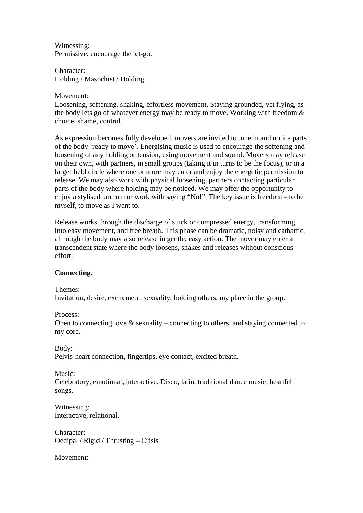Witnessing: Permissive, encourage the let-go.

Character: Holding / Masochist / Holding.

#### Movement:

Loosening, softening, shaking, effortless movement. Staying grounded, yet flying, as the body lets go of whatever energy may be ready to move. Working with freedom & choice, shame, control.

As expression becomes fully developed, movers are invited to tune in and notice parts of the body 'ready to move'. Energising music is used to encourage the softening and loosening of any holding or tension, using movement and sound. Movers may release on their own, with partners, in small groups (taking it in turns to be the focus), or in a larger held circle where one or more may enter and enjoy the energetic permission to release. We may also work with physical loosening, partners contacting particular parts of the body where holding may be noticed. We may offer the opportunity to enjoy a stylised tantrum or work with saying "No!". The key issue is freedom – to be myself, to move as I want to.

Release works through the discharge of stuck or compressed energy, transforming into easy movement, and free breath. This phase can be dramatic, noisy and cathartic, although the body may also release in gentle, easy action. The mover may enter a transcendent state where the body loosens, shakes and releases without conscious effort.

### **Connecting**.

Themes:

Invitation, desire, excitement, sexuality, holding others, my place in the group.

Process:

Open to connecting love  $\&$  sexuality – connecting to others, and staying connected to my core.

Body: Pelvis-heart connection, fingertips, eye contact, excited breath.

Music:

Celebratory, emotional, interactive. Disco, latin, traditional dance music, heartfelt songs.

Witnessing: Interactive, relational.

Character: Oedipal / Rigid / Thrusting – Crisis

Movement: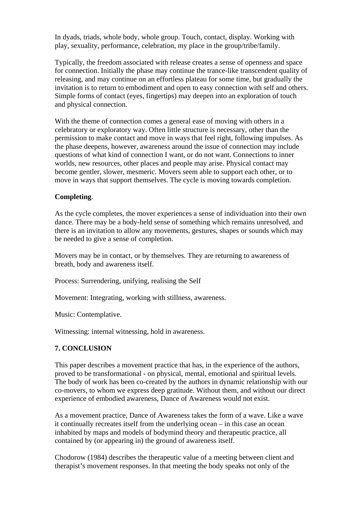In dyads, triads, whole body, whole group. Touch, contact, display. Working with play, sexuality, performance, celebration, my place in the group/tribe/family.

Typically, the freedom associated with release creates a sense of openness and space for connection. Initially the phase may continue the trance-like transcendent quality of releasing, and may continue on an effortless plateau for some time, but gradually the invitation is to return to embodiment and open to easy connection with self and others. Simple forms of contact (eyes, fingertips) may deepen into an exploration of touch and physical connection.

With the theme of connection comes a general ease of moving with others in a celebratory or exploratory way. Often little structure is necessary, other than the permission to make contact and move in ways that feel right, following impulses. As the phase deepens, however, awareness around the issue of connection may include questions of what kind of connection I want, or do not want. Connections to inner worlds, new resources, other places and people may arise. Physical contact may become gentler, slower, mesmeric. Movers seem able to support each other, or to move in ways that support themselves. The cycle is moving towards completion.

#### **Completing**.

As the cycle completes, the mover experiences a sense of individuation into their own dance. There may be a body-held sense of something which remains unresolved, and there is an invitation to allow any movements, gestures, shapes or sounds which may be needed to give a sense of completion.

Movers may be in contact, or by themselves. They are returning to awareness of breath, body and awareness itself.

Process: Surrendering, unifying, realising the Self

Movement: Integrating, working with stillness, awareness.

Music: Contemplative.

Witnessing: internal witnessing, hold in awareness.

#### **7. CONCLUSION**

This paper describes a movement practice that has, in the experience of the authors, proved to be transformational - on physical, mental, emotional and spiritual levels. The body of work has been co-created by the authors in dynamic relationship with our co-movers, to whom we express deep gratitude. Without them, and without our direct experience of embodied awareness, Dance of Awareness would not exist.

As a movement practice, Dance of Awareness takes the form of a wave. Like a wave it continually recreates itself from the underlying ocean – in this case an ocean inhabited by maps and models of bodymind theory and therapeutic practice, all contained by (or appearing in) the ground of awareness itself.

Chodorow (1984) describes the therapeutic value of a meeting between client and therapist's movement responses. In that meeting the body speaks not only of the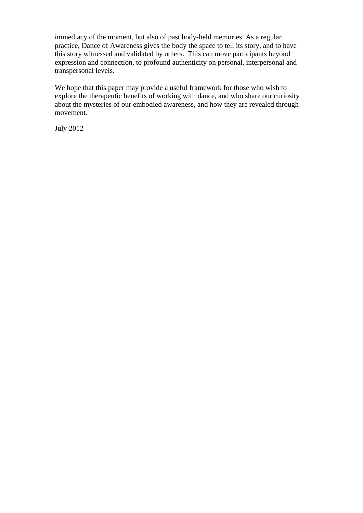immediacy of the moment, but also of past body-held memories. As a regular practice, Dance of Awareness gives the body the space to tell its story, and to have this story witnessed and validated by others. This can move participants beyond expression and connection, to profound authenticity on personal, interpersonal and transpersonal levels.

We hope that this paper may provide a useful framework for those who wish to explore the therapeutic benefits of working with dance, and who share our curiosity about the mysteries of our embodied awareness, and how they are revealed through movement.

July 2012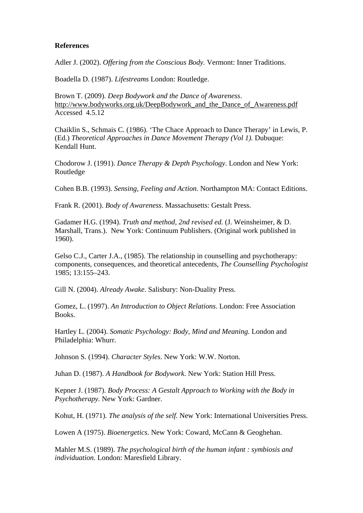#### **References**

Adler J. (2002). *Offering from the Conscious Body.* Vermont: Inner Traditions.

Boadella D. (1987). *Lifestreams* London: Routledge.

Brown T. (2009). *Deep Bodywork and the Dance of Awareness*. http://www.bodyworks.org.uk/DeepBodywork\_and\_the\_Dance\_of\_Awareness.pdf Accessed 4.5.12

Chaiklin S., Schmais C. (1986). 'The Chace Approach to Dance Therapy' in Lewis, P. (Ed.) *Theoretical Approaches in Dance Movement Therapy (Vol 1).* Dubuque: Kendall Hunt.

Chodorow J. (1991). *Dance Therapy & Depth Psychology*. London and New York: Routledge

Cohen B.B. (1993). *Sensing, Feeling and Action.* Northampton MA: Contact Editions.

Frank R. (2001). *Body of Awareness*. Massachusetts: Gestalt Press.

Gadamer H.G. (1994). *Truth and method, 2nd revised ed.* (J. Weinsheimer, & D. Marshall, Trans.). New York: Continuum Publishers. (Original work published in 1960).

Gelso C.J., Carter J.A., (1985). The relationship in counselling and psychotherapy: components, consequences, and theoretical antecedents, *The Counselling Psychologist*  1985; 13:155–243.

Gill N. (2004). *Already Awake*. Salisbury: Non-Duality Press.

Gomez, L. (1997). *An Introduction to Object Relations*. London: Free Association Books.

Hartley L. (2004). *Somatic Psychology: Body, Mind and Meaning.* London and Philadelphia: Whurr.

Johnson S. (1994). *Character Styles*. New York: W.W. Norton.

Juhan D. (1987). *A Handbook for Bodywork*. New York: Station Hill Press.

Kepner J. (1987). *Body Process: A Gestalt Approach to Working with the Body in Psychotherapy.* New York: Gardner.

Kohut, H. (1971). *The analysis of the self.* New York: International Universities Press.

Lowen A (1975). *Bioenergetics*. New York: Coward, McCann & Geoghehan.

Mahler M.S. (1989). *The psychological birth of the human infant : symbiosis and individuation.* London: Maresfield Library.